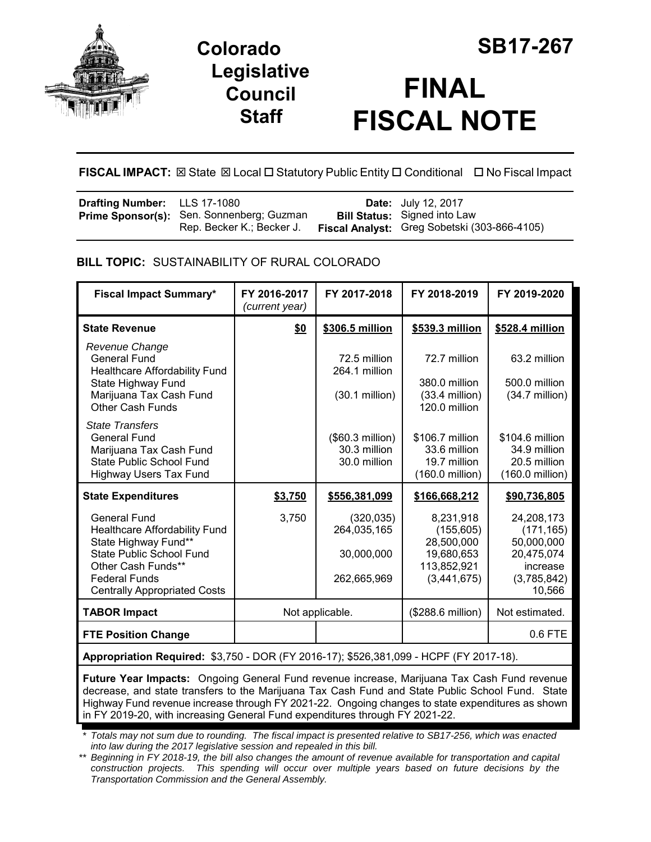

# **Legislative Council Staff**



# **FISCAL IMPACT:** ⊠ State ⊠ Local □ Statutory Public Entity □ Conditional □ No Fiscal Impact

| <b>Drafting Number:</b> LLS 17-1080 |                                                                               | <b>Date:</b> July 12, 2017                                                          |
|-------------------------------------|-------------------------------------------------------------------------------|-------------------------------------------------------------------------------------|
|                                     | <b>Prime Sponsor(s):</b> Sen. Sonnenberg; Guzman<br>Rep. Becker K.; Becker J. | <b>Bill Status:</b> Signed into Law<br>Fiscal Analyst: Greg Sobetski (303-866-4105) |

# **BILL TOPIC:** SUSTAINABILITY OF RURAL COLORADO

| <b>Fiscal Impact Summary*</b>                                                                                                                                                                               | FY 2016-2017<br>(current year) | FY 2017-2018                                              | FY 2018-2019                                                                      | FY 2019-2020                                                                              |
|-------------------------------------------------------------------------------------------------------------------------------------------------------------------------------------------------------------|--------------------------------|-----------------------------------------------------------|-----------------------------------------------------------------------------------|-------------------------------------------------------------------------------------------|
| <b>State Revenue</b>                                                                                                                                                                                        | \$0                            | \$306.5 million                                           | \$539.3 million                                                                   | \$528.4 million                                                                           |
| Revenue Change<br><b>General Fund</b><br><b>Healthcare Affordability Fund</b><br>State Highway Fund<br>Marijuana Tax Cash Fund<br><b>Other Cash Funds</b>                                                   |                                | 72.5 million<br>264.1 million<br>$(30.1 \text{ million})$ | 72.7 million<br>380.0 million<br>$(33.4$ million)<br>120.0 million                | 63.2 million<br>500.0 million<br>$(34.7$ million)                                         |
| <b>State Transfers</b><br><b>General Fund</b><br>Marijuana Tax Cash Fund<br>State Public School Fund<br><b>Highway Users Tax Fund</b>                                                                       |                                | (\$60.3 million)<br>30.3 million<br>30.0 million          | \$106.7 million<br>33.6 million<br>19.7 million<br>(160.0 million)                | \$104.6 million<br>34.9 million<br>20.5 million<br>(160.0 million)                        |
| <b>State Expenditures</b>                                                                                                                                                                                   | \$3,750                        | \$556,381,099                                             | \$166,668,212                                                                     | \$90,736,805                                                                              |
| <b>General Fund</b><br><b>Healthcare Affordability Fund</b><br>State Highway Fund**<br><b>State Public School Fund</b><br>Other Cash Funds**<br><b>Federal Funds</b><br><b>Centrally Appropriated Costs</b> | 3,750                          | (320, 035)<br>264,035,165<br>30,000,000<br>262,665,969    | 8,231,918<br>(155, 605)<br>28,500,000<br>19,680,653<br>113,852,921<br>(3,441,675) | 24,208,173<br>(171, 165)<br>50,000,000<br>20,475,074<br>increase<br>(3,785,842)<br>10,566 |
| <b>TABOR Impact</b>                                                                                                                                                                                         |                                | Not applicable.                                           | (\$288.6 million)                                                                 | Not estimated.                                                                            |
| <b>FTE Position Change</b>                                                                                                                                                                                  |                                |                                                           |                                                                                   | 0.6 FTE                                                                                   |

**Appropriation Required:** \$3,750 - DOR (FY 2016-17); \$526,381,099 - HCPF (FY 2017-18).

**Future Year Impacts:** Ongoing General Fund revenue increase, Marijuana Tax Cash Fund revenue decrease, and state transfers to the Marijuana Tax Cash Fund and State Public School Fund. State Highway Fund revenue increase through FY 2021-22. Ongoing changes to state expenditures as shown in FY 2019-20, with increasing General Fund expenditures through FY 2021-22.

*\* Totals may not sum due to rounding. The fiscal impact is presented relative to SB17-256, which was enacted into law during the 2017 legislative session and repealed in this bill.*

*\*\* Beginning in FY 2018-19, the bill also changes the amount of revenue available for transportation and capital construction projects. This spending will occur over multiple years based on future decisions by the Transportation Commission and the General Assembly.*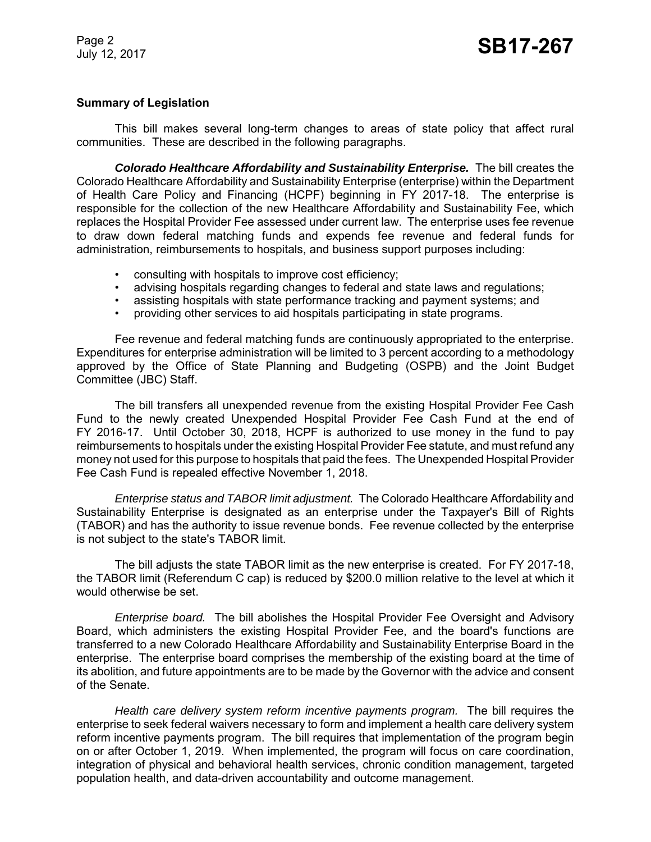#### **Summary of Legislation**

This bill makes several long-term changes to areas of state policy that affect rural communities. These are described in the following paragraphs.

*Colorado Healthcare Affordability and Sustainability Enterprise.* The bill creates the Colorado Healthcare Affordability and Sustainability Enterprise (enterprise) within the Department of Health Care Policy and Financing (HCPF) beginning in FY 2017-18. The enterprise is responsible for the collection of the new Healthcare Affordability and Sustainability Fee, which replaces the Hospital Provider Fee assessed under current law. The enterprise uses fee revenue to draw down federal matching funds and expends fee revenue and federal funds for administration, reimbursements to hospitals, and business support purposes including:

- consulting with hospitals to improve cost efficiency;
- advising hospitals regarding changes to federal and state laws and regulations;
- assisting hospitals with state performance tracking and payment systems; and
- providing other services to aid hospitals participating in state programs.

Fee revenue and federal matching funds are continuously appropriated to the enterprise. Expenditures for enterprise administration will be limited to 3 percent according to a methodology approved by the Office of State Planning and Budgeting (OSPB) and the Joint Budget Committee (JBC) Staff.

The bill transfers all unexpended revenue from the existing Hospital Provider Fee Cash Fund to the newly created Unexpended Hospital Provider Fee Cash Fund at the end of FY 2016-17. Until October 30, 2018, HCPF is authorized to use money in the fund to pay reimbursements to hospitals under the existing Hospital Provider Fee statute, and must refund any money not used for this purpose to hospitals that paid the fees. The Unexpended Hospital Provider Fee Cash Fund is repealed effective November 1, 2018.

*Enterprise status and TABOR limit adjustment.* The Colorado Healthcare Affordability and Sustainability Enterprise is designated as an enterprise under the Taxpayer's Bill of Rights (TABOR) and has the authority to issue revenue bonds. Fee revenue collected by the enterprise is not subject to the state's TABOR limit.

The bill adjusts the state TABOR limit as the new enterprise is created. For FY 2017-18, the TABOR limit (Referendum C cap) is reduced by \$200.0 million relative to the level at which it would otherwise be set.

*Enterprise board.* The bill abolishes the Hospital Provider Fee Oversight and Advisory Board, which administers the existing Hospital Provider Fee, and the board's functions are transferred to a new Colorado Healthcare Affordability and Sustainability Enterprise Board in the enterprise. The enterprise board comprises the membership of the existing board at the time of its abolition, and future appointments are to be made by the Governor with the advice and consent of the Senate.

*Health care delivery system reform incentive payments program.* The bill requires the enterprise to seek federal waivers necessary to form and implement a health care delivery system reform incentive payments program. The bill requires that implementation of the program begin on or after October 1, 2019. When implemented, the program will focus on care coordination, integration of physical and behavioral health services, chronic condition management, targeted population health, and data-driven accountability and outcome management.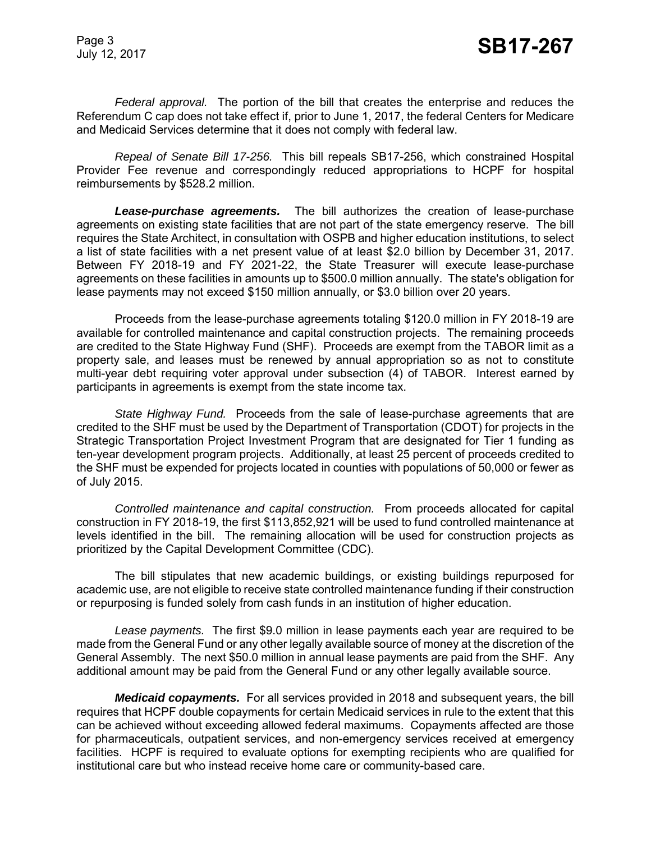Page 3

*Federal approval.* The portion of the bill that creates the enterprise and reduces the Referendum C cap does not take effect if, prior to June 1, 2017, the federal Centers for Medicare and Medicaid Services determine that it does not comply with federal law.

*Repeal of Senate Bill 17-256.* This bill repeals SB17-256, which constrained Hospital Provider Fee revenue and correspondingly reduced appropriations to HCPF for hospital reimbursements by \$528.2 million.

*Lease-purchase agreements.* The bill authorizes the creation of lease-purchase agreements on existing state facilities that are not part of the state emergency reserve. The bill requires the State Architect, in consultation with OSPB and higher education institutions, to select a list of state facilities with a net present value of at least \$2.0 billion by December 31, 2017. Between FY 2018-19 and FY 2021-22, the State Treasurer will execute lease-purchase agreements on these facilities in amounts up to \$500.0 million annually. The state's obligation for lease payments may not exceed \$150 million annually, or \$3.0 billion over 20 years.

Proceeds from the lease-purchase agreements totaling \$120.0 million in FY 2018-19 are available for controlled maintenance and capital construction projects. The remaining proceeds are credited to the State Highway Fund (SHF). Proceeds are exempt from the TABOR limit as a property sale, and leases must be renewed by annual appropriation so as not to constitute multi-year debt requiring voter approval under subsection (4) of TABOR. Interest earned by participants in agreements is exempt from the state income tax.

*State Highway Fund.* Proceeds from the sale of lease-purchase agreements that are credited to the SHF must be used by the Department of Transportation (CDOT) for projects in the Strategic Transportation Project Investment Program that are designated for Tier 1 funding as ten-year development program projects. Additionally, at least 25 percent of proceeds credited to the SHF must be expended for projects located in counties with populations of 50,000 or fewer as of July 2015.

*Controlled maintenance and capital construction.* From proceeds allocated for capital construction in FY 2018-19, the first \$113,852,921 will be used to fund controlled maintenance at levels identified in the bill. The remaining allocation will be used for construction projects as prioritized by the Capital Development Committee (CDC).

The bill stipulates that new academic buildings, or existing buildings repurposed for academic use, are not eligible to receive state controlled maintenance funding if their construction or repurposing is funded solely from cash funds in an institution of higher education.

*Lease payments.* The first \$9.0 million in lease payments each year are required to be made from the General Fund or any other legally available source of money at the discretion of the General Assembly. The next \$50.0 million in annual lease payments are paid from the SHF. Any additional amount may be paid from the General Fund or any other legally available source.

*Medicaid copayments.* For all services provided in 2018 and subsequent years, the bill requires that HCPF double copayments for certain Medicaid services in rule to the extent that this can be achieved without exceeding allowed federal maximums. Copayments affected are those for pharmaceuticals, outpatient services, and non-emergency services received at emergency facilities. HCPF is required to evaluate options for exempting recipients who are qualified for institutional care but who instead receive home care or community-based care.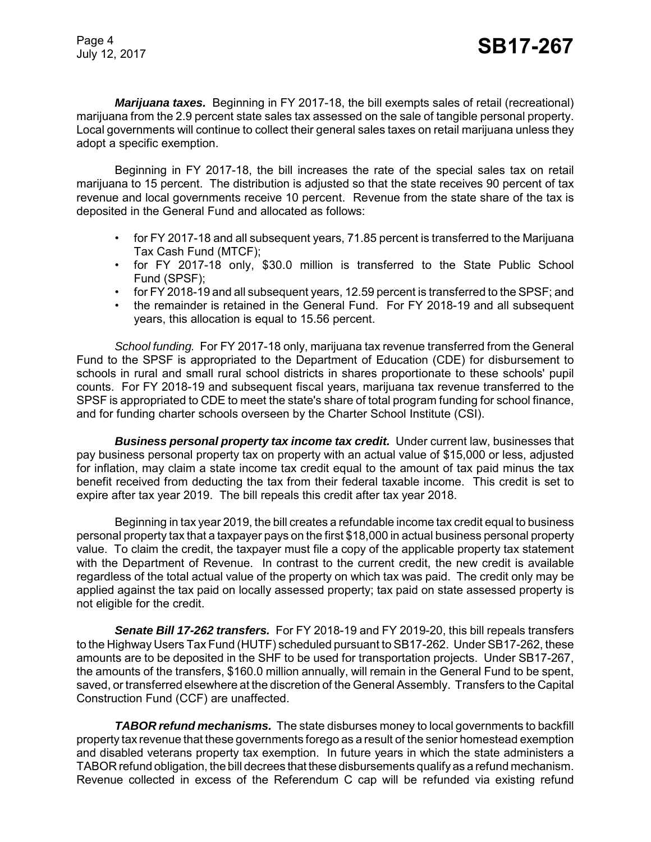*Marijuana taxes.* Beginning in FY 2017-18, the bill exempts sales of retail (recreational) marijuana from the 2.9 percent state sales tax assessed on the sale of tangible personal property. Local governments will continue to collect their general sales taxes on retail marijuana unless they adopt a specific exemption.

Beginning in FY 2017-18, the bill increases the rate of the special sales tax on retail marijuana to 15 percent. The distribution is adjusted so that the state receives 90 percent of tax revenue and local governments receive 10 percent. Revenue from the state share of the tax is deposited in the General Fund and allocated as follows:

- for FY 2017-18 and all subsequent years, 71.85 percent is transferred to the Marijuana Tax Cash Fund (MTCF);
- for FY 2017-18 only, \$30.0 million is transferred to the State Public School Fund (SPSF);
- for FY 2018-19 and all subsequent years, 12.59 percent is transferred to the SPSF; and
- the remainder is retained in the General Fund. For FY 2018-19 and all subsequent years, this allocation is equal to 15.56 percent.

*School funding.* For FY 2017-18 only, marijuana tax revenue transferred from the General Fund to the SPSF is appropriated to the Department of Education (CDE) for disbursement to schools in rural and small rural school districts in shares proportionate to these schools' pupil counts. For FY 2018-19 and subsequent fiscal years, marijuana tax revenue transferred to the SPSF is appropriated to CDE to meet the state's share of total program funding for school finance, and for funding charter schools overseen by the Charter School Institute (CSI).

*Business personal property tax income tax credit.* Under current law, businesses that pay business personal property tax on property with an actual value of \$15,000 or less, adjusted for inflation, may claim a state income tax credit equal to the amount of tax paid minus the tax benefit received from deducting the tax from their federal taxable income. This credit is set to expire after tax year 2019. The bill repeals this credit after tax year 2018.

Beginning in tax year 2019, the bill creates a refundable income tax credit equal to business personal property tax that a taxpayer pays on the first \$18,000 in actual business personal property value. To claim the credit, the taxpayer must file a copy of the applicable property tax statement with the Department of Revenue. In contrast to the current credit, the new credit is available regardless of the total actual value of the property on which tax was paid. The credit only may be applied against the tax paid on locally assessed property; tax paid on state assessed property is not eligible for the credit.

*Senate Bill 17-262 transfers.* For FY 2018-19 and FY 2019-20, this bill repeals transfers to the Highway Users Tax Fund (HUTF) scheduled pursuant to SB17-262. Under SB17-262, these amounts are to be deposited in the SHF to be used for transportation projects. Under SB17-267, the amounts of the transfers, \$160.0 million annually, will remain in the General Fund to be spent, saved, or transferred elsewhere at the discretion of the General Assembly. Transfers to the Capital Construction Fund (CCF) are unaffected.

*TABOR refund mechanisms.* The state disburses money to local governments to backfill property tax revenue that these governments forego as a result of the senior homestead exemption and disabled veterans property tax exemption. In future years in which the state administers a TABOR refund obligation, the bill decrees that these disbursements qualify as a refund mechanism. Revenue collected in excess of the Referendum C cap will be refunded via existing refund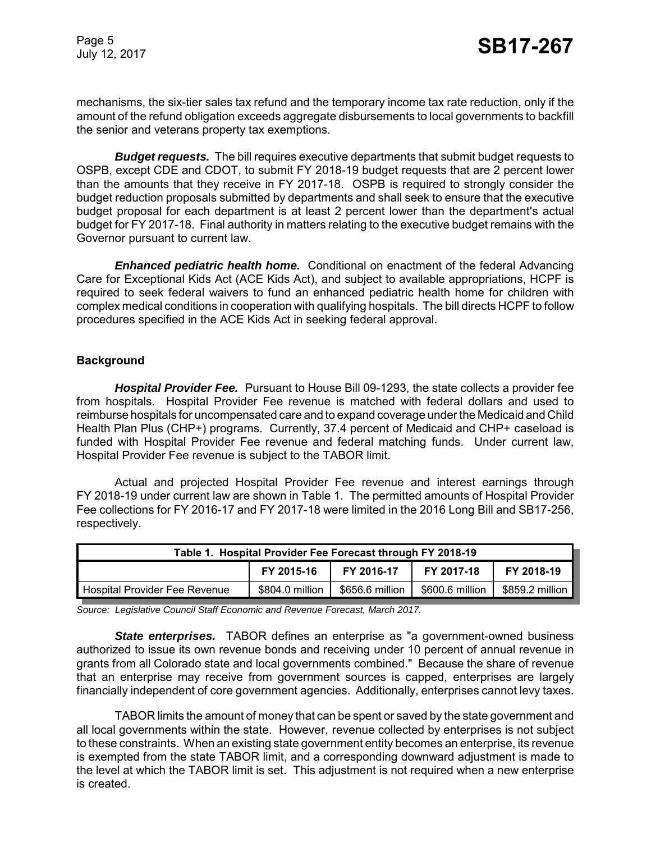Page 5

mechanisms, the six-tier sales tax refund and the temporary income tax rate reduction, only if the amount of the refund obligation exceeds aggregate disbursements to local governments to backfill the senior and veterans property tax exemptions.

*Budget requests.* The bill requires executive departments that submit budget requests to OSPB, except CDE and CDOT, to submit FY 2018-19 budget requests that are 2 percent lower than the amounts that they receive in FY 2017-18. OSPB is required to strongly consider the budget reduction proposals submitted by departments and shall seek to ensure that the executive budget proposal for each department is at least 2 percent lower than the department's actual budget for FY 2017-18. Final authority in matters relating to the executive budget remains with the Governor pursuant to current law.

*Enhanced pediatric health home.* Conditional on enactment of the federal Advancing Care for Exceptional Kids Act (ACE Kids Act), and subject to available appropriations, HCPF is required to seek federal waivers to fund an enhanced pediatric health home for children with complex medical conditions in cooperation with qualifying hospitals. The bill directs HCPF to follow procedures specified in the ACE Kids Act in seeking federal approval.

#### **Background**

*Hospital Provider Fee.* Pursuant to House Bill 09-1293, the state collects a provider fee from hospitals. Hospital Provider Fee revenue is matched with federal dollars and used to reimburse hospitals for uncompensated care and to expand coverage under the Medicaid and Child Health Plan Plus (CHP+) programs. Currently, 37.4 percent of Medicaid and CHP+ caseload is funded with Hospital Provider Fee revenue and federal matching funds. Under current law, Hospital Provider Fee revenue is subject to the TABOR limit.

Actual and projected Hospital Provider Fee revenue and interest earnings through FY 2018-19 under current law are shown in Table 1. The permitted amounts of Hospital Provider Fee collections for FY 2016-17 and FY 2017-18 were limited in the 2016 Long Bill and SB17-256, respectively.

| Table 1. Hospital Provider Fee Forecast through FY 2018-19 |                 |                 |                 |                 |  |
|------------------------------------------------------------|-----------------|-----------------|-----------------|-----------------|--|
| FY 2018-19<br>FY 2015-16<br>FY 2017-18<br>FY 2016-17       |                 |                 |                 |                 |  |
| <b>Hospital Provider Fee Revenue</b>                       | \$804.0 million | \$656.6 million | \$600.6 million | \$859.2 million |  |

*Source: Legislative Council Staff Economic and Revenue Forecast, March 2017.*

*State enterprises.* TABOR defines an enterprise as "a government-owned business authorized to issue its own revenue bonds and receiving under 10 percent of annual revenue in grants from all Colorado state and local governments combined." Because the share of revenue that an enterprise may receive from government sources is capped, enterprises are largely financially independent of core government agencies. Additionally, enterprises cannot levy taxes.

TABOR limits the amount of money that can be spent or saved by the state government and all local governments within the state. However, revenue collected by enterprises is not subject to these constraints. When an existing state government entity becomes an enterprise, its revenue is exempted from the state TABOR limit, and a corresponding downward adjustment is made to the level at which the TABOR limit is set. This adjustment is not required when a new enterprise is created.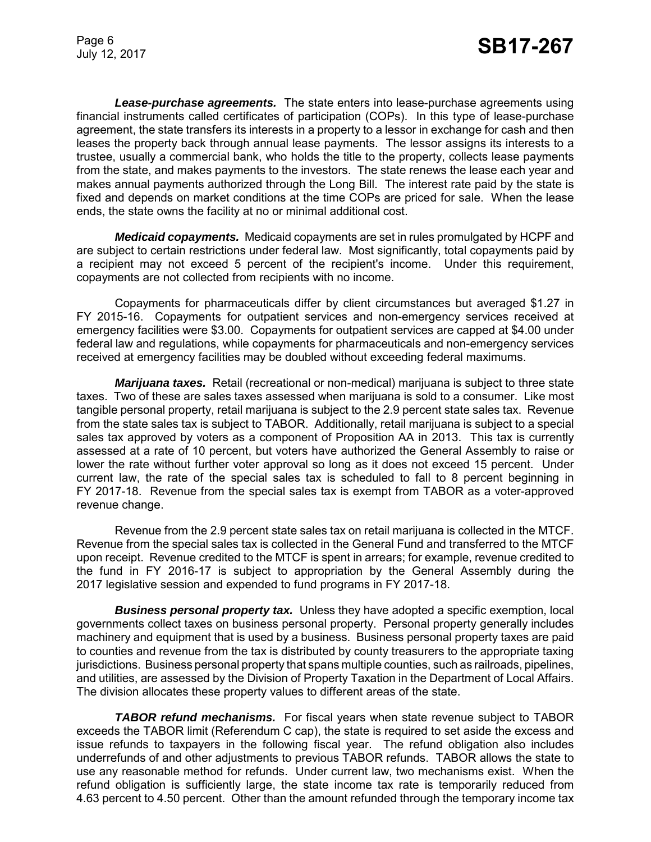*Lease-purchase agreements.* The state enters into lease-purchase agreements using financial instruments called certificates of participation (COPs). In this type of lease-purchase agreement, the state transfers its interests in a property to a lessor in exchange for cash and then leases the property back through annual lease payments. The lessor assigns its interests to a trustee, usually a commercial bank, who holds the title to the property, collects lease payments from the state, and makes payments to the investors. The state renews the lease each year and makes annual payments authorized through the Long Bill. The interest rate paid by the state is fixed and depends on market conditions at the time COPs are priced for sale. When the lease ends, the state owns the facility at no or minimal additional cost.

*Medicaid copayments.* Medicaid copayments are set in rules promulgated by HCPF and are subject to certain restrictions under federal law. Most significantly, total copayments paid by a recipient may not exceed 5 percent of the recipient's income. Under this requirement, copayments are not collected from recipients with no income.

Copayments for pharmaceuticals differ by client circumstances but averaged \$1.27 in FY 2015-16. Copayments for outpatient services and non-emergency services received at emergency facilities were \$3.00. Copayments for outpatient services are capped at \$4.00 under federal law and regulations, while copayments for pharmaceuticals and non-emergency services received at emergency facilities may be doubled without exceeding federal maximums.

*Marijuana taxes.* Retail (recreational or non-medical) marijuana is subject to three state taxes. Two of these are sales taxes assessed when marijuana is sold to a consumer. Like most tangible personal property, retail marijuana is subject to the 2.9 percent state sales tax. Revenue from the state sales tax is subject to TABOR. Additionally, retail marijuana is subject to a special sales tax approved by voters as a component of Proposition AA in 2013. This tax is currently assessed at a rate of 10 percent, but voters have authorized the General Assembly to raise or lower the rate without further voter approval so long as it does not exceed 15 percent. Under current law, the rate of the special sales tax is scheduled to fall to 8 percent beginning in FY 2017-18. Revenue from the special sales tax is exempt from TABOR as a voter-approved revenue change.

Revenue from the 2.9 percent state sales tax on retail marijuana is collected in the MTCF. Revenue from the special sales tax is collected in the General Fund and transferred to the MTCF upon receipt. Revenue credited to the MTCF is spent in arrears; for example, revenue credited to the fund in FY 2016-17 is subject to appropriation by the General Assembly during the 2017 legislative session and expended to fund programs in FY 2017-18.

*Business personal property tax.* Unless they have adopted a specific exemption, local governments collect taxes on business personal property. Personal property generally includes machinery and equipment that is used by a business. Business personal property taxes are paid to counties and revenue from the tax is distributed by county treasurers to the appropriate taxing jurisdictions. Business personal property that spans multiple counties, such as railroads, pipelines, and utilities, are assessed by the Division of Property Taxation in the Department of Local Affairs. The division allocates these property values to different areas of the state.

*TABOR refund mechanisms.* For fiscal years when state revenue subject to TABOR exceeds the TABOR limit (Referendum C cap), the state is required to set aside the excess and issue refunds to taxpayers in the following fiscal year. The refund obligation also includes underrefunds of and other adjustments to previous TABOR refunds. TABOR allows the state to use any reasonable method for refunds. Under current law, two mechanisms exist. When the refund obligation is sufficiently large, the state income tax rate is temporarily reduced from 4.63 percent to 4.50 percent. Other than the amount refunded through the temporary income tax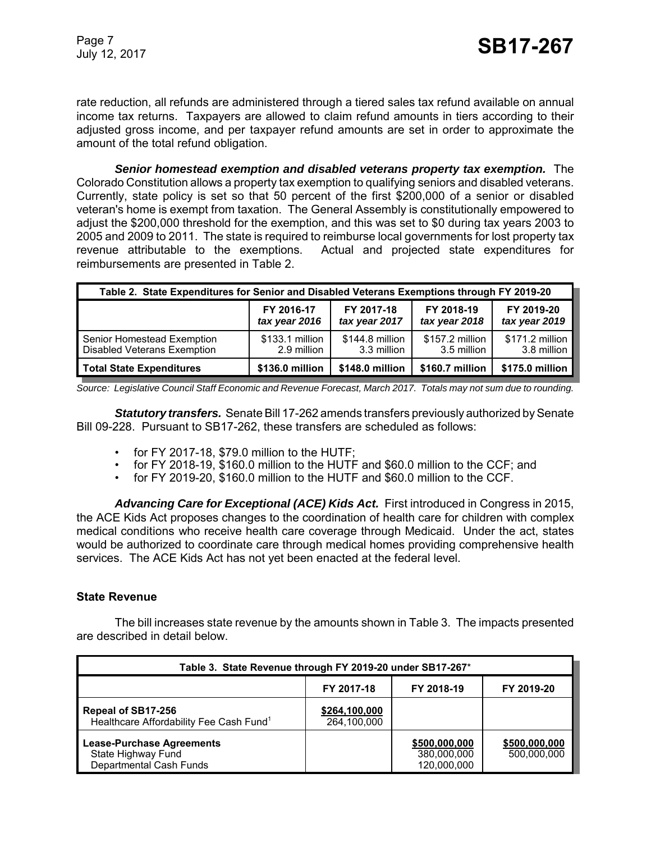Page 7

rate reduction, all refunds are administered through a tiered sales tax refund available on annual income tax returns. Taxpayers are allowed to claim refund amounts in tiers according to their adjusted gross income, and per taxpayer refund amounts are set in order to approximate the amount of the total refund obligation.

*Senior homestead exemption and disabled veterans property tax exemption.* The Colorado Constitution allows a property tax exemption to qualifying seniors and disabled veterans. Currently, state policy is set so that 50 percent of the first \$200,000 of a senior or disabled veteran's home is exempt from taxation. The General Assembly is constitutionally empowered to adjust the \$200,000 threshold for the exemption, and this was set to \$0 during tax years 2003 to 2005 and 2009 to 2011. The state is required to reimburse local governments for lost property tax revenue attributable to the exemptions. Actual and projected state expenditures for reimbursements are presented in Table 2.

| Table 2. State Expenditures for Senior and Disabled Veterans Exemptions through FY 2019-20 |                                                                                                                          |                                |                                |                                |  |
|--------------------------------------------------------------------------------------------|--------------------------------------------------------------------------------------------------------------------------|--------------------------------|--------------------------------|--------------------------------|--|
|                                                                                            | FY 2017-18<br>FY 2018-19<br>FY 2019-20<br>FY 2016-17<br>tax year 2017<br>tax year 2018<br>tax year 2019<br>tax year 2016 |                                |                                |                                |  |
| Senior Homestead Exemption<br><b>Disabled Veterans Exemption</b>                           | \$133.1 million<br>2.9 million                                                                                           | \$144.8 million<br>3.3 million | \$157.2 million<br>3.5 million | \$171.2 million<br>3.8 million |  |
| <b>Total State Expenditures</b>                                                            | \$136.0 million                                                                                                          | \$148.0 million                | \$160.7 million                | \$175.0 million                |  |

*Source: Legislative Council Staff Economic and Revenue Forecast, March 2017. Totals may not sum due to rounding.*

*Statutory transfers.* Senate Bill 17-262 amends transfers previously authorized by Senate Bill 09-228. Pursuant to SB17-262, these transfers are scheduled as follows:

- for FY 2017-18, \$79.0 million to the HUTF;
- for FY 2018-19, \$160.0 million to the HUTF and \$60.0 million to the CCF; and
- for FY 2019-20, \$160.0 million to the HUTF and \$60.0 million to the CCF.

*Advancing Care for Exceptional (ACE) Kids Act.* First introduced in Congress in 2015, the ACE Kids Act proposes changes to the coordination of health care for children with complex medical conditions who receive health care coverage through Medicaid. Under the act, states would be authorized to coordinate care through medical homes providing comprehensive health services. The ACE Kids Act has not yet been enacted at the federal level.

#### **State Revenue**

The bill increases state revenue by the amounts shown in Table 3. The impacts presented are described in detail below.

| Table 3. State Revenue through FY 2019-20 under SB17-267*                         |                              |                                             |                              |  |  |  |
|-----------------------------------------------------------------------------------|------------------------------|---------------------------------------------|------------------------------|--|--|--|
| FY 2018-19<br>FY 2019-20<br>FY 2017-18                                            |                              |                                             |                              |  |  |  |
| Repeal of SB17-256<br>Healthcare Affordability Fee Cash Fund <sup>1</sup>         | \$264,100,000<br>264,100,000 |                                             |                              |  |  |  |
| <b>Lease-Purchase Agreements</b><br>State Highway Fund<br>Departmental Cash Funds |                              | \$500,000,000<br>380,000,000<br>120,000,000 | \$500,000,000<br>500,000,000 |  |  |  |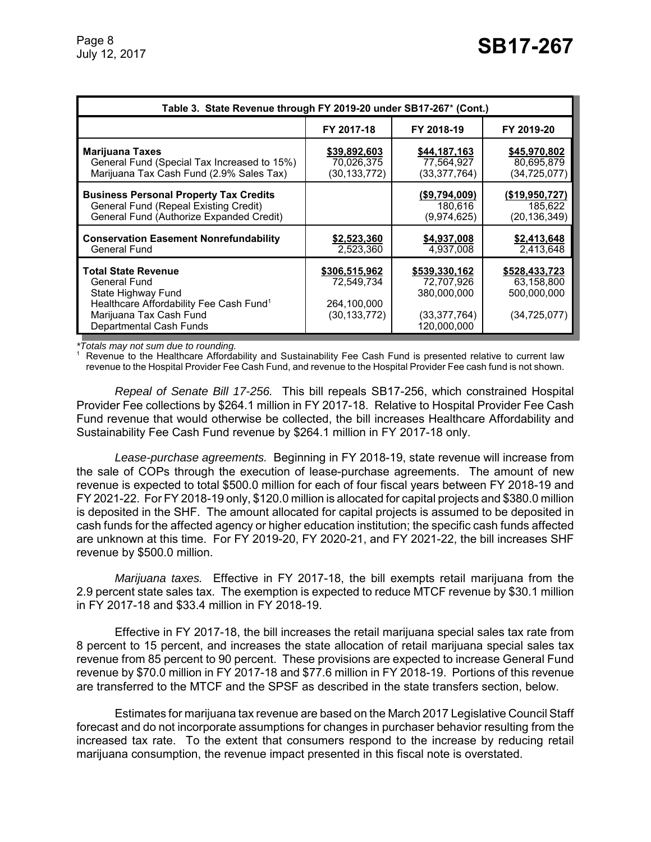| Table 3. State Revenue through FY 2019-20 under SB17-267* (Cont.)                                                                                                             |                                                            |                                                                           |                                                              |  |  |
|-------------------------------------------------------------------------------------------------------------------------------------------------------------------------------|------------------------------------------------------------|---------------------------------------------------------------------------|--------------------------------------------------------------|--|--|
|                                                                                                                                                                               | FY 2017-18                                                 | FY 2018-19                                                                | FY 2019-20                                                   |  |  |
| <b>Marijuana Taxes</b>                                                                                                                                                        | \$39,892,603                                               | \$44,187,163                                                              | \$45,970,802                                                 |  |  |
| General Fund (Special Tax Increased to 15%)                                                                                                                                   | 70,026,375                                                 | 77,564,927                                                                | 80,695,879                                                   |  |  |
| Marijuana Tax Cash Fund (2.9% Sales Tax)                                                                                                                                      | (30,133,772)                                               | (33,377,764)                                                              | (34, 725, 077)                                               |  |  |
| <b>Business Personal Property Tax Credits</b>                                                                                                                                 |                                                            | (\$9,794,009)                                                             | (\$19,950,727)                                               |  |  |
| General Fund (Repeal Existing Credit)                                                                                                                                         |                                                            | 180.616                                                                   | 185.622                                                      |  |  |
| General Fund (Authorize Expanded Credit)                                                                                                                                      |                                                            | (9,974,625)                                                               | (20, 136, 349)                                               |  |  |
| <b>Conservation Easement Nonrefundability</b>                                                                                                                                 | \$2,523,360                                                | \$4,937,008                                                               | \$2,413,648                                                  |  |  |
| <b>General Fund</b>                                                                                                                                                           | 2,523,360                                                  | 4,937,008                                                                 | 2,413,648                                                    |  |  |
| <b>Total State Revenue</b><br>General Fund<br>State Highway Fund<br>Healthcare Affordability Fee Cash Fund <sup>1</sup><br>Marijuana Tax Cash Fund<br>Departmental Cash Funds | \$306,515,962<br>72.549.734<br>264,100,000<br>(30,133,772) | \$539,330,162<br>72,707,926<br>380,000,000<br>(33,377,764)<br>120,000,000 | \$528,433,723<br>63,158,800<br>500,000,000<br>(34, 725, 077) |  |  |

*\*Totals may not sum due to rounding.*

<sup>1</sup> Revenue to the Healthcare Affordability and Sustainability Fee Cash Fund is presented relative to current law revenue to the Hospital Provider Fee Cash Fund, and revenue to the Hospital Provider Fee cash fund is not shown.

*Repeal of Senate Bill 17-256.* This bill repeals SB17-256, which constrained Hospital Provider Fee collections by \$264.1 million in FY 2017-18. Relative to Hospital Provider Fee Cash Fund revenue that would otherwise be collected, the bill increases Healthcare Affordability and Sustainability Fee Cash Fund revenue by \$264.1 million in FY 2017-18 only.

*Lease-purchase agreements.* Beginning in FY 2018-19, state revenue will increase from the sale of COPs through the execution of lease-purchase agreements. The amount of new revenue is expected to total \$500.0 million for each of four fiscal years between FY 2018-19 and FY 2021-22. For FY 2018-19 only, \$120.0 million is allocated for capital projects and \$380.0 million is deposited in the SHF. The amount allocated for capital projects is assumed to be deposited in cash funds for the affected agency or higher education institution; the specific cash funds affected are unknown at this time. For FY 2019-20, FY 2020-21, and FY 2021-22, the bill increases SHF revenue by \$500.0 million.

*Marijuana taxes.* Effective in FY 2017-18, the bill exempts retail marijuana from the 2.9 percent state sales tax. The exemption is expected to reduce MTCF revenue by \$30.1 million in FY 2017-18 and \$33.4 million in FY 2018-19.

Effective in FY 2017-18, the bill increases the retail marijuana special sales tax rate from 8 percent to 15 percent, and increases the state allocation of retail marijuana special sales tax revenue from 85 percent to 90 percent. These provisions are expected to increase General Fund revenue by \$70.0 million in FY 2017-18 and \$77.6 million in FY 2018-19. Portions of this revenue are transferred to the MTCF and the SPSF as described in the state transfers section, below.

Estimates for marijuana tax revenue are based on the March 2017 Legislative Council Staff forecast and do not incorporate assumptions for changes in purchaser behavior resulting from the increased tax rate. To the extent that consumers respond to the increase by reducing retail marijuana consumption, the revenue impact presented in this fiscal note is overstated.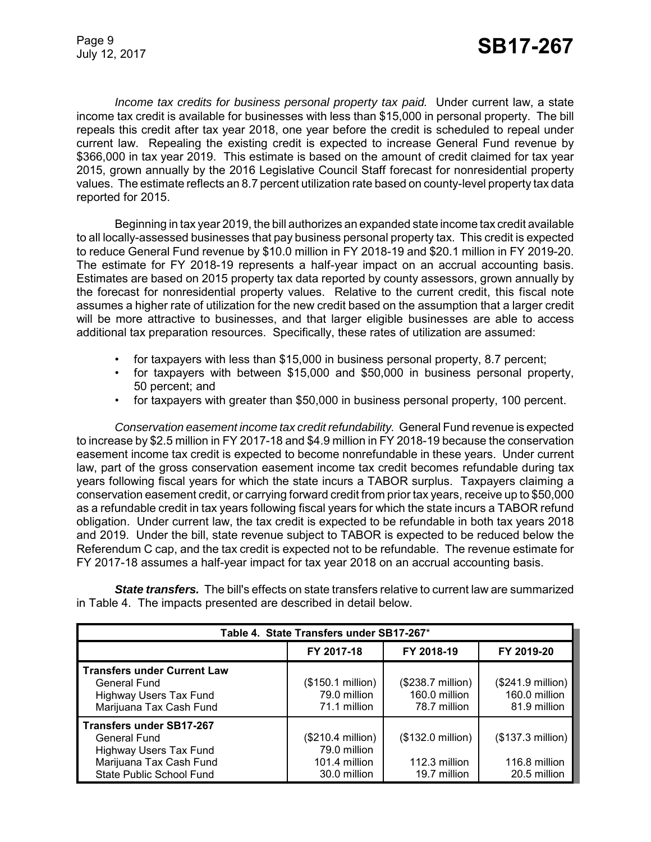*Income tax credits for business personal property tax paid.* Under current law, a state income tax credit is available for businesses with less than \$15,000 in personal property. The bill repeals this credit after tax year 2018, one year before the credit is scheduled to repeal under current law. Repealing the existing credit is expected to increase General Fund revenue by \$366,000 in tax year 2019. This estimate is based on the amount of credit claimed for tax year 2015, grown annually by the 2016 Legislative Council Staff forecast for nonresidential property values. The estimate reflects an 8.7 percent utilization rate based on county-level property tax data reported for 2015.

Beginning in tax year 2019, the bill authorizes an expanded state income tax credit available to all locally-assessed businesses that pay business personal property tax. This credit is expected to reduce General Fund revenue by \$10.0 million in FY 2018-19 and \$20.1 million in FY 2019-20. The estimate for FY 2018-19 represents a half-year impact on an accrual accounting basis. Estimates are based on 2015 property tax data reported by county assessors, grown annually by the forecast for nonresidential property values. Relative to the current credit, this fiscal note assumes a higher rate of utilization for the new credit based on the assumption that a larger credit will be more attractive to businesses, and that larger eligible businesses are able to access additional tax preparation resources. Specifically, these rates of utilization are assumed:

- for taxpayers with less than \$15,000 in business personal property, 8.7 percent;
- for taxpayers with between \$15,000 and \$50,000 in business personal property, 50 percent; and
- for taxpayers with greater than \$50,000 in business personal property, 100 percent.

*Conservation easement income tax credit refundability.* General Fund revenue is expected to increase by \$2.5 million in FY 2017-18 and \$4.9 million in FY 2018-19 because the conservation easement income tax credit is expected to become nonrefundable in these years. Under current law, part of the gross conservation easement income tax credit becomes refundable during tax years following fiscal years for which the state incurs a TABOR surplus. Taxpayers claiming a conservation easement credit, or carrying forward credit from prior tax years, receive up to \$50,000 as a refundable credit in tax years following fiscal years for which the state incurs a TABOR refund obligation. Under current law, the tax credit is expected to be refundable in both tax years 2018 and 2019. Under the bill, state revenue subject to TABOR is expected to be reduced below the Referendum C cap, and the tax credit is expected not to be refundable. The revenue estimate for FY 2017-18 assumes a half-year impact for tax year 2018 on an accrual accounting basis.

| Table 4. State Transfers under SB17-267*                                                                                                       |                                                                    |                                                    |                                                    |  |  |  |
|------------------------------------------------------------------------------------------------------------------------------------------------|--------------------------------------------------------------------|----------------------------------------------------|----------------------------------------------------|--|--|--|
|                                                                                                                                                | FY 2018-19<br>FY 2017-18<br>FY 2019-20                             |                                                    |                                                    |  |  |  |
| <b>Transfers under Current Law</b><br><b>General Fund</b><br><b>Highway Users Tax Fund</b><br>Marijuana Tax Cash Fund                          | (\$150.1 million)<br>79.0 million<br>71.1 million                  | (\$238.7 million)<br>160.0 million<br>78.7 million | (\$241.9 million)<br>160.0 million<br>81.9 million |  |  |  |
| Transfers under SB17-267<br><b>General Fund</b><br><b>Highway Users Tax Fund</b><br>Marijuana Tax Cash Fund<br><b>State Public School Fund</b> | (\$210.4 million)<br>79.0 million<br>101.4 million<br>30.0 million | (\$132.0 million)<br>112.3 million<br>19.7 million | (\$137.3 million)<br>116.8 million<br>20.5 million |  |  |  |

*State transfers.* The bill's effects on state transfers relative to current law are summarized in Table 4. The impacts presented are described in detail below.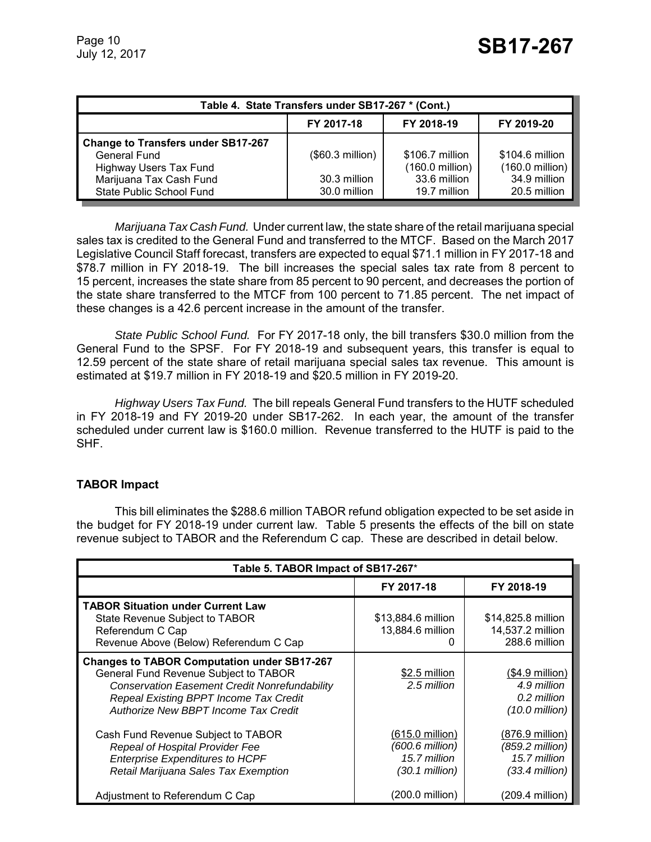| Table 4. State Transfers under SB17-267 * (Cont.)                                                                                                   |                  |                                              |                                    |  |  |  |
|-----------------------------------------------------------------------------------------------------------------------------------------------------|------------------|----------------------------------------------|------------------------------------|--|--|--|
| FY 2017-18<br>FY 2018-19<br>FY 2019-20                                                                                                              |                  |                                              |                                    |  |  |  |
| <b>Change to Transfers under SB17-267</b><br><b>General Fund</b><br><b>Highway Users Tax Fund</b>                                                   | (\$60.3 million) | \$106.7 million<br>$(160.0 \text{ million})$ | \$104.6 million<br>(160.0 million) |  |  |  |
| 34.9 million<br>33.6 million<br>Marijuana Tax Cash Fund<br>30.3 million<br>20.5 million<br>30.0 million<br>19.7 million<br>State Public School Fund |                  |                                              |                                    |  |  |  |

*Marijuana Tax Cash Fund.* Under current law, the state share of the retail marijuana special sales tax is credited to the General Fund and transferred to the MTCF. Based on the March 2017 Legislative Council Staff forecast, transfers are expected to equal \$71.1 million in FY 2017-18 and \$78.7 million in FY 2018-19. The bill increases the special sales tax rate from 8 percent to 15 percent, increases the state share from 85 percent to 90 percent, and decreases the portion of the state share transferred to the MTCF from 100 percent to 71.85 percent. The net impact of these changes is a 42.6 percent increase in the amount of the transfer.

*State Public School Fund.* For FY 2017-18 only, the bill transfers \$30.0 million from the General Fund to the SPSF. For FY 2018-19 and subsequent years, this transfer is equal to 12.59 percent of the state share of retail marijuana special sales tax revenue. This amount is estimated at \$19.7 million in FY 2018-19 and \$20.5 million in FY 2019-20.

*Highway Users Tax Fund.* The bill repeals General Fund transfers to the HUTF scheduled in FY 2018-19 and FY 2019-20 under SB17-262. In each year, the amount of the transfer scheduled under current law is \$160.0 million. Revenue transferred to the HUTF is paid to the SHF.

### **TABOR Impact**

This bill eliminates the \$288.6 million TABOR refund obligation expected to be set aside in the budget for FY 2018-19 under current law. Table 5 presents the effects of the bill on state revenue subject to TABOR and the Referendum C cap. These are described in detail below.

| Table 5. TABOR Impact of SB17-267*                                                                                                                                                                                                    |                                                                                  |                                                                            |  |  |  |
|---------------------------------------------------------------------------------------------------------------------------------------------------------------------------------------------------------------------------------------|----------------------------------------------------------------------------------|----------------------------------------------------------------------------|--|--|--|
|                                                                                                                                                                                                                                       | FY 2017-18                                                                       | FY 2018-19                                                                 |  |  |  |
| <b>TABOR Situation under Current Law</b><br>State Revenue Subject to TABOR<br>Referendum C Cap<br>Revenue Above (Below) Referendum C Cap                                                                                              | \$13,884.6 million<br>13,884.6 million                                           | \$14,825.8 million<br>14,537.2 million<br>288.6 million                    |  |  |  |
| <b>Changes to TABOR Computation under SB17-267</b><br>General Fund Revenue Subject to TABOR<br><b>Conservation Easement Credit Nonrefundability</b><br>Repeal Existing BPPT Income Tax Credit<br>Authorize New BBPT Income Tax Credit | \$2.5 million<br>2.5 million                                                     | $($4.9$ million)<br>4.9 million<br>0.2 million<br>$(10.0 \text{ million})$ |  |  |  |
| Cash Fund Revenue Subject to TABOR<br>Repeal of Hospital Provider Fee<br><b>Enterprise Expenditures to HCPF</b><br>Retail Marijuana Sales Tax Exemption                                                                               | $(615.0 \text{ million})$<br>(600.6 million)<br>15.7 million<br>$(30.1$ million) | (876.9 million)<br>(859.2 million)<br>15.7 million<br>$(33.4$ million)     |  |  |  |
| Adjustment to Referendum C Cap                                                                                                                                                                                                        | (200.0 million)                                                                  | (209.4 million)                                                            |  |  |  |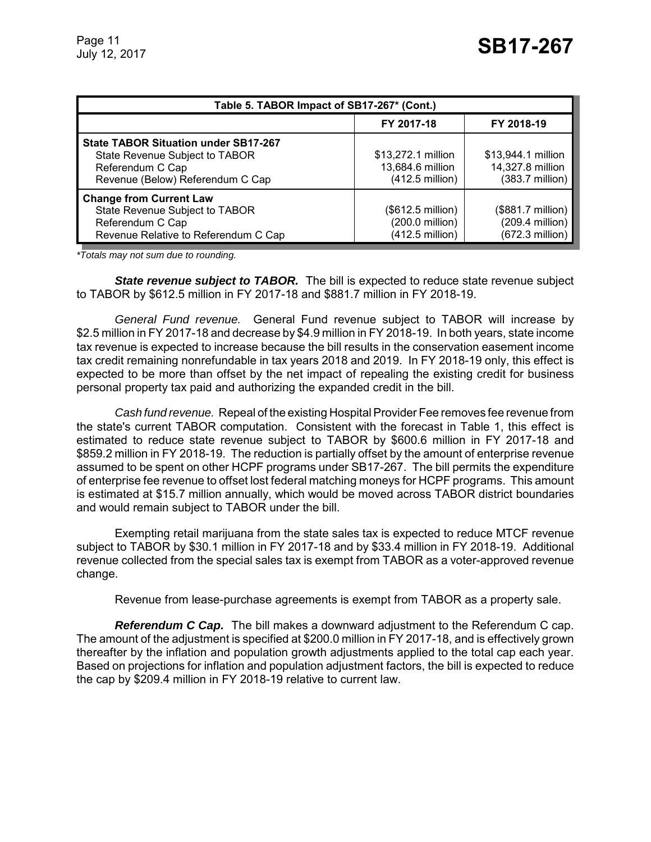| Table 5. TABOR Impact of SB17-267* (Cont.)                                                                                            |                                                           |                                                           |  |  |  |  |
|---------------------------------------------------------------------------------------------------------------------------------------|-----------------------------------------------------------|-----------------------------------------------------------|--|--|--|--|
| FY 2017-18<br>FY 2018-19                                                                                                              |                                                           |                                                           |  |  |  |  |
| <b>State TABOR Situation under SB17-267</b><br>State Revenue Subject to TABOR<br>Referendum C Cap<br>Revenue (Below) Referendum C Cap | \$13,272.1 million<br>13,684.6 million<br>(412.5 million) | \$13,944.1 million<br>14,327.8 million<br>(383.7 million) |  |  |  |  |
| <b>Change from Current Law</b><br>State Revenue Subject to TABOR<br>Referendum C Cap<br>Revenue Relative to Referendum C Cap          | (\$612.5 million)<br>(200.0 million)<br>(412.5 million)   | (\$881.7 million)<br>(209.4 million)<br>(672.3 million)   |  |  |  |  |

*\*Totals may not sum due to rounding.*

**State revenue subject to TABOR.** The bill is expected to reduce state revenue subject to TABOR by \$612.5 million in FY 2017-18 and \$881.7 million in FY 2018-19.

*General Fund revenue.* General Fund revenue subject to TABOR will increase by \$2.5 million in FY 2017-18 and decrease by \$4.9 million in FY 2018-19. In both years, state income tax revenue is expected to increase because the bill results in the conservation easement income tax credit remaining nonrefundable in tax years 2018 and 2019. In FY 2018-19 only, this effect is expected to be more than offset by the net impact of repealing the existing credit for business personal property tax paid and authorizing the expanded credit in the bill.

*Cash fund revenue.* Repeal of the existing Hospital Provider Fee removes fee revenue from the state's current TABOR computation. Consistent with the forecast in Table 1, this effect is estimated to reduce state revenue subject to TABOR by \$600.6 million in FY 2017-18 and \$859.2 million in FY 2018-19. The reduction is partially offset by the amount of enterprise revenue assumed to be spent on other HCPF programs under SB17-267. The bill permits the expenditure of enterprise fee revenue to offset lost federal matching moneys for HCPF programs. This amount is estimated at \$15.7 million annually, which would be moved across TABOR district boundaries and would remain subject to TABOR under the bill.

Exempting retail marijuana from the state sales tax is expected to reduce MTCF revenue subject to TABOR by \$30.1 million in FY 2017-18 and by \$33.4 million in FY 2018-19. Additional revenue collected from the special sales tax is exempt from TABOR as a voter-approved revenue change.

Revenue from lease-purchase agreements is exempt from TABOR as a property sale.

*Referendum C Cap.* The bill makes a downward adjustment to the Referendum C cap. The amount of the adjustment is specified at \$200.0 million in FY 2017-18, and is effectively grown thereafter by the inflation and population growth adjustments applied to the total cap each year. Based on projections for inflation and population adjustment factors, the bill is expected to reduce the cap by \$209.4 million in FY 2018-19 relative to current law.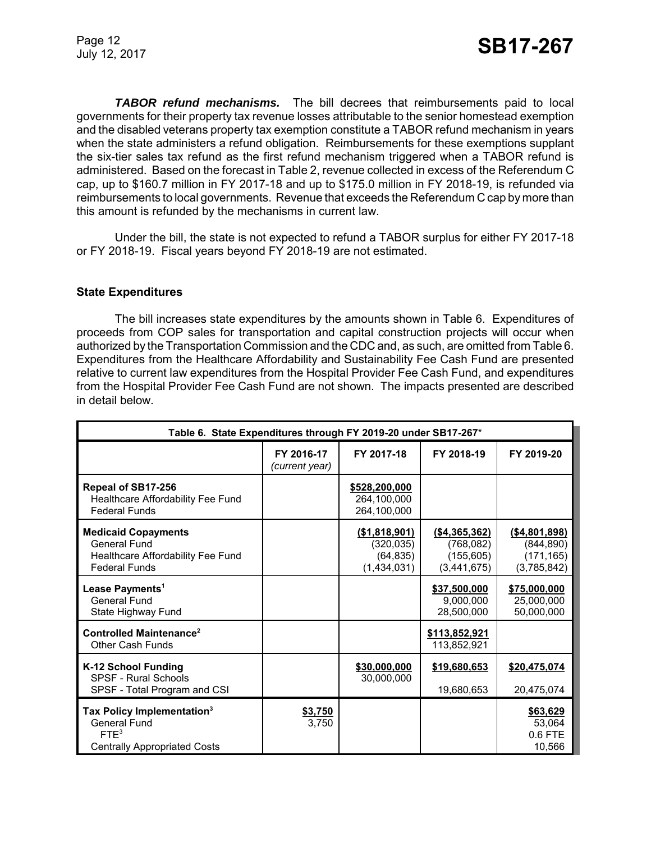*TABOR refund mechanisms.* The bill decrees that reimbursements paid to local governments for their property tax revenue losses attributable to the senior homestead exemption and the disabled veterans property tax exemption constitute a TABOR refund mechanism in years when the state administers a refund obligation. Reimbursements for these exemptions supplant the six-tier sales tax refund as the first refund mechanism triggered when a TABOR refund is administered. Based on the forecast in Table 2, revenue collected in excess of the Referendum C cap, up to \$160.7 million in FY 2017-18 and up to \$175.0 million in FY 2018-19, is refunded via reimbursements to local governments. Revenue that exceeds the Referendum C cap by more than this amount is refunded by the mechanisms in current law.

Under the bill, the state is not expected to refund a TABOR surplus for either FY 2017-18 or FY 2018-19. Fiscal years beyond FY 2018-19 are not estimated.

#### **State Expenditures**

The bill increases state expenditures by the amounts shown in Table 6. Expenditures of proceeds from COP sales for transportation and capital construction projects will occur when authorized by the Transportation Commission and the CDC and, as such, are omitted from Table 6. Expenditures from the Healthcare Affordability and Sustainability Fee Cash Fund are presented relative to current law expenditures from the Hospital Provider Fee Cash Fund, and expenditures from the Hospital Provider Fee Cash Fund are not shown. The impacts presented are described in detail below.

| Table 6. State Expenditures through FY 2019-20 under SB17-267*                                                           |                              |                                                          |                                                           |                                                           |  |
|--------------------------------------------------------------------------------------------------------------------------|------------------------------|----------------------------------------------------------|-----------------------------------------------------------|-----------------------------------------------------------|--|
|                                                                                                                          | FY 2016-17<br>(current year) | FY 2017-18                                               | FY 2018-19                                                | FY 2019-20                                                |  |
| Repeal of SB17-256<br>Healthcare Affordability Fee Fund<br><b>Federal Funds</b>                                          |                              | \$528,200,000<br>264,100,000<br>264,100,000              |                                                           |                                                           |  |
| <b>Medicaid Copayments</b><br><b>General Fund</b><br>Healthcare Affordability Fee Fund<br><b>Federal Funds</b>           |                              | ( \$1,818,901)<br>(320, 035)<br>(64, 835)<br>(1,434,031) | ( \$4,365,362)<br>(768, 082)<br>(155, 605)<br>(3,441,675) | ( \$4,801,898)<br>(844, 890)<br>(171, 165)<br>(3,785,842) |  |
| Lease Payments <sup>1</sup><br>General Fund<br>State Highway Fund                                                        |                              |                                                          | \$37,500,000<br>9,000,000<br>28,500,000                   | \$75,000,000<br>25,000,000<br>50,000,000                  |  |
| Controlled Maintenance <sup>2</sup><br><b>Other Cash Funds</b>                                                           |                              |                                                          | \$113,852,921<br>113,852,921                              |                                                           |  |
| K-12 School Funding<br><b>SPSF - Rural Schools</b><br>SPSF - Total Program and CSI                                       |                              | \$30,000,000<br>30,000,000                               | \$19,680,653<br>19,680,653                                | \$20,475,074<br>20,475,074                                |  |
| Tax Policy Implementation <sup>3</sup><br><b>General Fund</b><br>FTF <sup>3</sup><br><b>Centrally Appropriated Costs</b> | \$3,750<br>3,750             |                                                          |                                                           | \$63,629<br>53,064<br>$0.6$ FTE<br>10,566                 |  |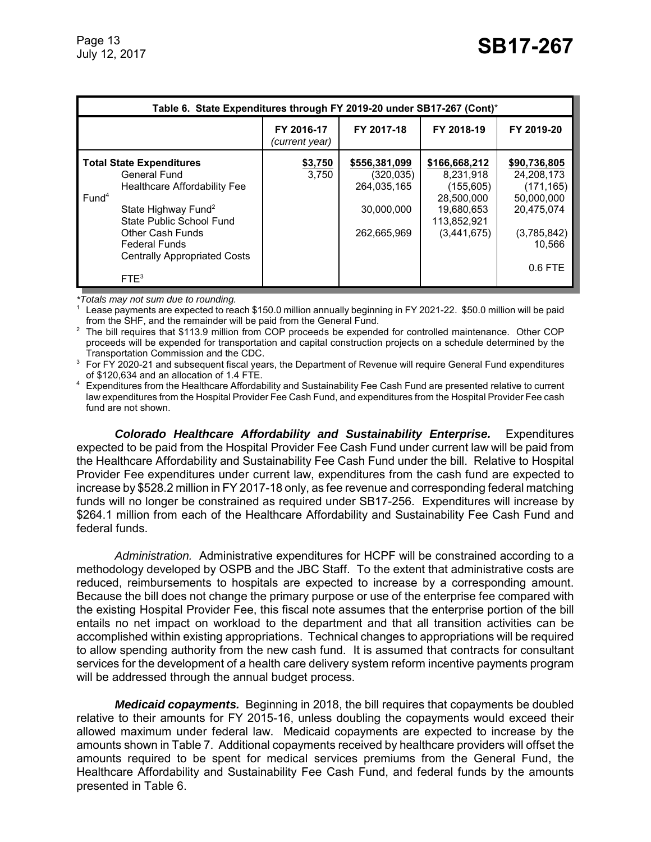| Table 6. State Expenditures through FY 2019-20 under SB17-267 (Cont)*                                                                                                                                                                                                             |                              |                                                                         |                                                                                                    |                                                                                                            |  |
|-----------------------------------------------------------------------------------------------------------------------------------------------------------------------------------------------------------------------------------------------------------------------------------|------------------------------|-------------------------------------------------------------------------|----------------------------------------------------------------------------------------------------|------------------------------------------------------------------------------------------------------------|--|
|                                                                                                                                                                                                                                                                                   | FY 2016-17<br>(current year) | FY 2017-18                                                              | FY 2018-19                                                                                         | FY 2019-20                                                                                                 |  |
| <b>Total State Expenditures</b><br>General Fund<br><b>Healthcare Affordability Fee</b><br>Fund <sup>4</sup><br>State Highway Fund <sup>2</sup><br>State Public School Fund<br>Other Cash Funds<br><b>Federal Funds</b><br><b>Centrally Appropriated Costs</b><br>FTF <sup>3</sup> | \$3,750<br>3,750             | \$556,381,099<br>(320, 035)<br>264.035.165<br>30,000,000<br>262.665.969 | \$166,668,212<br>8,231,918<br>(155, 605)<br>28,500,000<br>19.680.653<br>113,852,921<br>(3,441,675) | \$90,736,805<br>24,208,173<br>(171, 165)<br>50,000,000<br>20.475.074<br>(3,785,842)<br>10,566<br>$0.6$ FTE |  |

*\*Totals may not sum due to rounding.*

<sup>1</sup> Lease payments are expected to reach \$150.0 million annually beginning in FY 2021-22. \$50.0 million will be paid from the SHF, and the remainder will be paid from the General Fund.

<sup>2</sup> The bill requires that \$113.9 million from COP proceeds be expended for controlled maintenance. Other COP proceeds will be expended for transportation and capital construction projects on a schedule determined by the Transportation Commission and the CDC.

<sup>3</sup> For FY 2020-21 and subsequent fiscal years, the Department of Revenue will require General Fund expenditures of \$120,634 and an allocation of 1.4 FTE.

<sup>4</sup> Expenditures from the Healthcare Affordability and Sustainability Fee Cash Fund are presented relative to current law expenditures from the Hospital Provider Fee Cash Fund, and expenditures from the Hospital Provider Fee cash fund are not shown.

*Colorado Healthcare Affordability and Sustainability Enterprise.* Expenditures expected to be paid from the Hospital Provider Fee Cash Fund under current law will be paid from the Healthcare Affordability and Sustainability Fee Cash Fund under the bill. Relative to Hospital Provider Fee expenditures under current law, expenditures from the cash fund are expected to increase by \$528.2 million in FY 2017-18 only, as fee revenue and corresponding federal matching funds will no longer be constrained as required under SB17-256. Expenditures will increase by \$264.1 million from each of the Healthcare Affordability and Sustainability Fee Cash Fund and federal funds.

*Administration.* Administrative expenditures for HCPF will be constrained according to a methodology developed by OSPB and the JBC Staff. To the extent that administrative costs are reduced, reimbursements to hospitals are expected to increase by a corresponding amount. Because the bill does not change the primary purpose or use of the enterprise fee compared with the existing Hospital Provider Fee, this fiscal note assumes that the enterprise portion of the bill entails no net impact on workload to the department and that all transition activities can be accomplished within existing appropriations. Technical changes to appropriations will be required to allow spending authority from the new cash fund. It is assumed that contracts for consultant services for the development of a health care delivery system reform incentive payments program will be addressed through the annual budget process.

*Medicaid copayments.* Beginning in 2018, the bill requires that copayments be doubled relative to their amounts for FY 2015-16, unless doubling the copayments would exceed their allowed maximum under federal law. Medicaid copayments are expected to increase by the amounts shown in Table 7. Additional copayments received by healthcare providers will offset the amounts required to be spent for medical services premiums from the General Fund, the Healthcare Affordability and Sustainability Fee Cash Fund, and federal funds by the amounts presented in Table 6.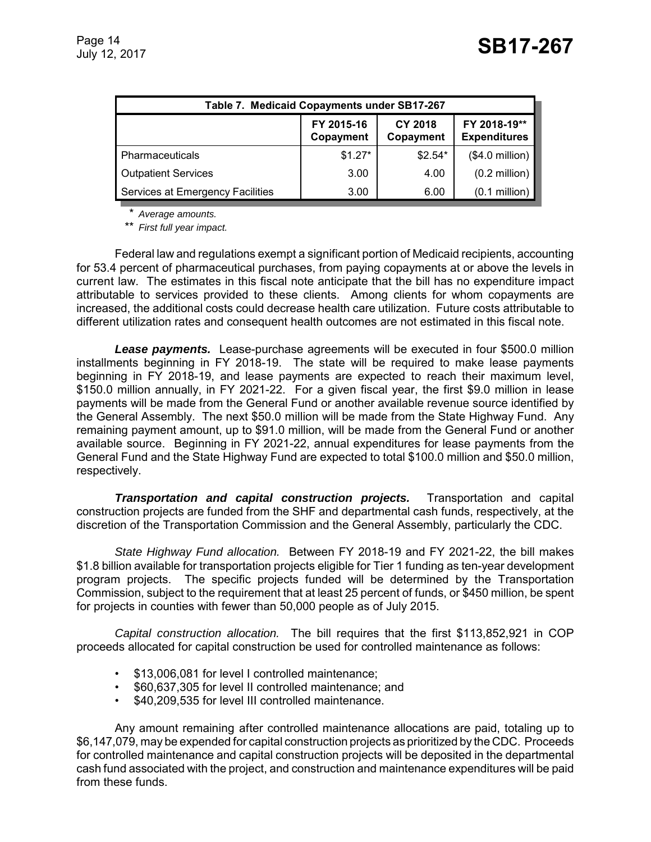| Table 7. Medicaid Copayments under SB17-267 |                         |                             |                                     |  |  |
|---------------------------------------------|-------------------------|-----------------------------|-------------------------------------|--|--|
|                                             | FY 2015-16<br>Copayment | <b>CY 2018</b><br>Copayment | FY 2018-19**<br><b>Expenditures</b> |  |  |
| Pharmaceuticals                             | $$1.27*$                | $$2.54*$                    | $($4.0$ million)                    |  |  |
| <b>Outpatient Services</b>                  | 3.00                    | 4.00                        | $(0.2 \text{ million})$             |  |  |
| Services at Emergency Facilities            | 3.00                    | 6.00                        | $(0.1$ million)                     |  |  |

\* *Average amounts.*

\*\* *First full year impact.*

Federal law and regulations exempt a significant portion of Medicaid recipients, accounting for 53.4 percent of pharmaceutical purchases, from paying copayments at or above the levels in current law. The estimates in this fiscal note anticipate that the bill has no expenditure impact attributable to services provided to these clients. Among clients for whom copayments are increased, the additional costs could decrease health care utilization. Future costs attributable to different utilization rates and consequent health outcomes are not estimated in this fiscal note.

*Lease payments.* Lease-purchase agreements will be executed in four \$500.0 million installments beginning in FY 2018-19. The state will be required to make lease payments beginning in FY 2018-19, and lease payments are expected to reach their maximum level, \$150.0 million annually, in FY 2021-22. For a given fiscal year, the first \$9.0 million in lease payments will be made from the General Fund or another available revenue source identified by the General Assembly. The next \$50.0 million will be made from the State Highway Fund. Any remaining payment amount, up to \$91.0 million, will be made from the General Fund or another available source. Beginning in FY 2021-22, annual expenditures for lease payments from the General Fund and the State Highway Fund are expected to total \$100.0 million and \$50.0 million, respectively.

*Transportation and capital construction projects.* Transportation and capital construction projects are funded from the SHF and departmental cash funds, respectively, at the discretion of the Transportation Commission and the General Assembly, particularly the CDC.

*State Highway Fund allocation.* Between FY 2018-19 and FY 2021-22, the bill makes \$1.8 billion available for transportation projects eligible for Tier 1 funding as ten-year development program projects. The specific projects funded will be determined by the Transportation Commission, subject to the requirement that at least 25 percent of funds, or \$450 million, be spent for projects in counties with fewer than 50,000 people as of July 2015.

*Capital construction allocation.* The bill requires that the first \$113,852,921 in COP proceeds allocated for capital construction be used for controlled maintenance as follows:

- \$13,006,081 for level I controlled maintenance;
- \$60,637,305 for level II controlled maintenance; and
- \$40,209,535 for level III controlled maintenance.

Any amount remaining after controlled maintenance allocations are paid, totaling up to \$6,147,079, may be expended for capital construction projects as prioritized by the CDC. Proceeds for controlled maintenance and capital construction projects will be deposited in the departmental cash fund associated with the project, and construction and maintenance expenditures will be paid from these funds.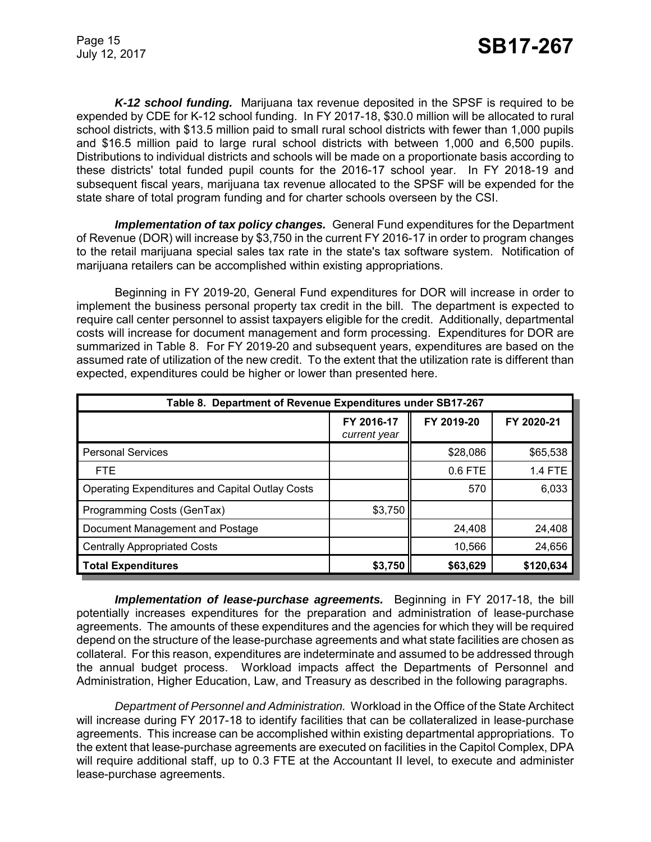*K-12 school funding.* Marijuana tax revenue deposited in the SPSF is required to be expended by CDE for K-12 school funding. In FY 2017-18, \$30.0 million will be allocated to rural school districts, with \$13.5 million paid to small rural school districts with fewer than 1,000 pupils and \$16.5 million paid to large rural school districts with between 1,000 and 6,500 pupils. Distributions to individual districts and schools will be made on a proportionate basis according to these districts' total funded pupil counts for the 2016-17 school year. In FY 2018-19 and subsequent fiscal years, marijuana tax revenue allocated to the SPSF will be expended for the state share of total program funding and for charter schools overseen by the CSI.

*Implementation of tax policy changes.* General Fund expenditures for the Department of Revenue (DOR) will increase by \$3,750 in the current FY 2016-17 in order to program changes to the retail marijuana special sales tax rate in the state's tax software system. Notification of marijuana retailers can be accomplished within existing appropriations.

Beginning in FY 2019-20, General Fund expenditures for DOR will increase in order to implement the business personal property tax credit in the bill. The department is expected to require call center personnel to assist taxpayers eligible for the credit. Additionally, departmental costs will increase for document management and form processing. Expenditures for DOR are summarized in Table 8. For FY 2019-20 and subsequent years, expenditures are based on the assumed rate of utilization of the new credit. To the extent that the utilization rate is different than expected, expenditures could be higher or lower than presented here.

| Table 8. Department of Revenue Expenditures under SB17-267 |                            |            |                |  |  |
|------------------------------------------------------------|----------------------------|------------|----------------|--|--|
|                                                            | FY 2016-17<br>current year | FY 2019-20 | FY 2020-21     |  |  |
| <b>Personal Services</b>                                   |                            | \$28,086   | \$65,538       |  |  |
| <b>FTE</b>                                                 |                            | 0.6 FTE    | <b>1.4 FTE</b> |  |  |
| <b>Operating Expenditures and Capital Outlay Costs</b>     |                            | 570        | 6,033          |  |  |
| Programming Costs (GenTax)                                 | \$3,750                    |            |                |  |  |
| Document Management and Postage                            |                            | 24,408     | 24,408         |  |  |
| <b>Centrally Appropriated Costs</b>                        |                            | 10.566     | 24,656         |  |  |
| <b>Total Expenditures</b>                                  | \$3,750                    | \$63,629   | \$120,634      |  |  |

*Implementation of lease-purchase agreements.* Beginning in FY 2017-18, the bill potentially increases expenditures for the preparation and administration of lease-purchase agreements. The amounts of these expenditures and the agencies for which they will be required depend on the structure of the lease-purchase agreements and what state facilities are chosen as collateral. For this reason, expenditures are indeterminate and assumed to be addressed through the annual budget process. Workload impacts affect the Departments of Personnel and Administration, Higher Education, Law, and Treasury as described in the following paragraphs.

*Department of Personnel and Administration.* Workload in the Office of the State Architect will increase during FY 2017-18 to identify facilities that can be collateralized in lease-purchase agreements. This increase can be accomplished within existing departmental appropriations. To the extent that lease-purchase agreements are executed on facilities in the Capitol Complex, DPA will require additional staff, up to 0.3 FTE at the Accountant II level, to execute and administer lease-purchase agreements.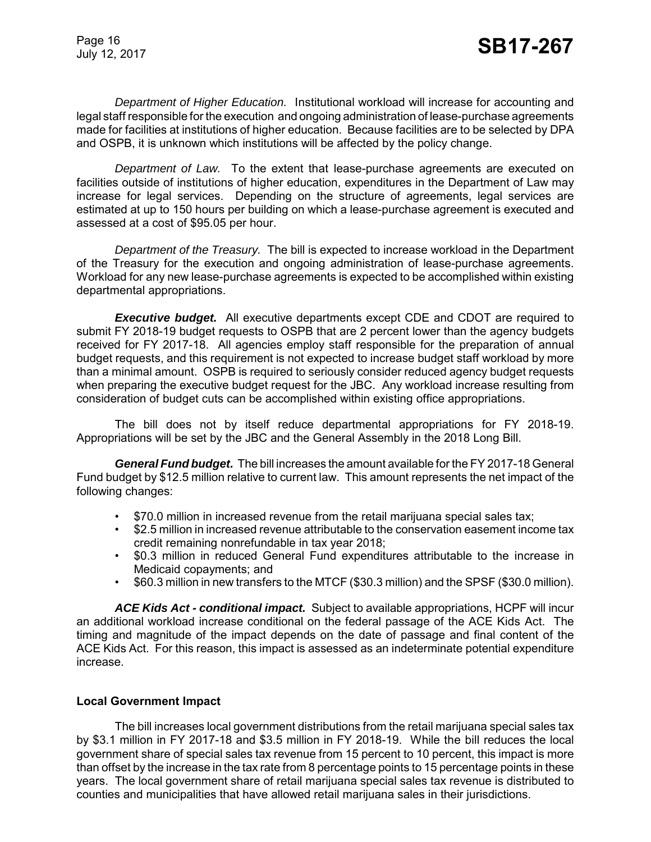*Department of Higher Education.* Institutional workload will increase for accounting and legal staff responsible for the execution and ongoing administration of lease-purchase agreements made for facilities at institutions of higher education. Because facilities are to be selected by DPA and OSPB, it is unknown which institutions will be affected by the policy change.

*Department of Law.* To the extent that lease-purchase agreements are executed on facilities outside of institutions of higher education, expenditures in the Department of Law may increase for legal services. Depending on the structure of agreements, legal services are estimated at up to 150 hours per building on which a lease-purchase agreement is executed and assessed at a cost of \$95.05 per hour.

*Department of the Treasury.* The bill is expected to increase workload in the Department of the Treasury for the execution and ongoing administration of lease-purchase agreements. Workload for any new lease-purchase agreements is expected to be accomplished within existing departmental appropriations.

*Executive budget.* All executive departments except CDE and CDOT are required to submit FY 2018-19 budget requests to OSPB that are 2 percent lower than the agency budgets received for FY 2017-18. All agencies employ staff responsible for the preparation of annual budget requests, and this requirement is not expected to increase budget staff workload by more than a minimal amount. OSPB is required to seriously consider reduced agency budget requests when preparing the executive budget request for the JBC. Any workload increase resulting from consideration of budget cuts can be accomplished within existing office appropriations.

The bill does not by itself reduce departmental appropriations for FY 2018-19. Appropriations will be set by the JBC and the General Assembly in the 2018 Long Bill.

*General Fund budget.* The bill increases the amount available for the FY 2017-18 General Fund budget by \$12.5 million relative to current law. This amount represents the net impact of the following changes:

- \$70.0 million in increased revenue from the retail marijuana special sales tax;
- \$2.5 million in increased revenue attributable to the conservation easement income tax credit remaining nonrefundable in tax year 2018;
- \$0.3 million in reduced General Fund expenditures attributable to the increase in Medicaid copayments; and
- \$60.3 million in new transfers to the MTCF (\$30.3 million) and the SPSF (\$30.0 million).

*ACE Kids Act - conditional impact.* Subject to available appropriations, HCPF will incur an additional workload increase conditional on the federal passage of the ACE Kids Act. The timing and magnitude of the impact depends on the date of passage and final content of the ACE Kids Act. For this reason, this impact is assessed as an indeterminate potential expenditure increase.

#### **Local Government Impact**

The bill increases local government distributions from the retail marijuana special sales tax by \$3.1 million in FY 2017-18 and \$3.5 million in FY 2018-19. While the bill reduces the local government share of special sales tax revenue from 15 percent to 10 percent, this impact is more than offset by the increase in the tax rate from 8 percentage points to 15 percentage points in these years. The local government share of retail marijuana special sales tax revenue is distributed to counties and municipalities that have allowed retail marijuana sales in their jurisdictions.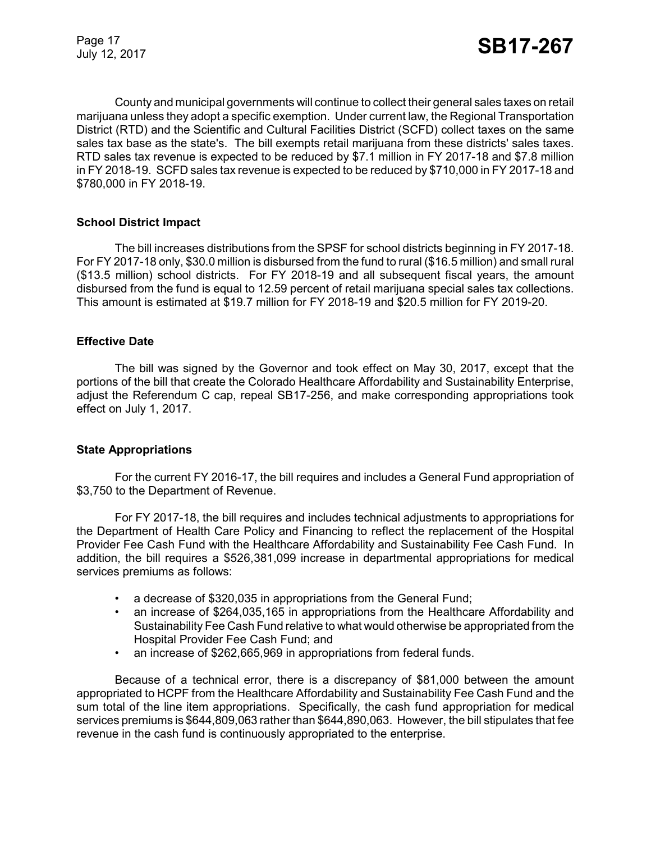County and municipal governments will continue to collect their general sales taxes on retail marijuana unless they adopt a specific exemption. Under current law, the Regional Transportation District (RTD) and the Scientific and Cultural Facilities District (SCFD) collect taxes on the same sales tax base as the state's. The bill exempts retail marijuana from these districts' sales taxes. RTD sales tax revenue is expected to be reduced by \$7.1 million in FY 2017-18 and \$7.8 million in FY 2018-19. SCFD sales tax revenue is expected to be reduced by \$710,000 in FY 2017-18 and \$780,000 in FY 2018-19.

#### **School District Impact**

The bill increases distributions from the SPSF for school districts beginning in FY 2017-18. For FY 2017-18 only, \$30.0 million is disbursed from the fund to rural (\$16.5 million) and small rural (\$13.5 million) school districts. For FY 2018-19 and all subsequent fiscal years, the amount disbursed from the fund is equal to 12.59 percent of retail marijuana special sales tax collections. This amount is estimated at \$19.7 million for FY 2018-19 and \$20.5 million for FY 2019-20.

#### **Effective Date**

The bill was signed by the Governor and took effect on May 30, 2017, except that the portions of the bill that create the Colorado Healthcare Affordability and Sustainability Enterprise, adjust the Referendum C cap, repeal SB17-256, and make corresponding appropriations took effect on July 1, 2017.

#### **State Appropriations**

For the current FY 2016-17, the bill requires and includes a General Fund appropriation of \$3,750 to the Department of Revenue.

For FY 2017-18, the bill requires and includes technical adjustments to appropriations for the Department of Health Care Policy and Financing to reflect the replacement of the Hospital Provider Fee Cash Fund with the Healthcare Affordability and Sustainability Fee Cash Fund. In addition, the bill requires a \$526,381,099 increase in departmental appropriations for medical services premiums as follows:

- a decrease of \$320,035 in appropriations from the General Fund;
- an increase of \$264,035,165 in appropriations from the Healthcare Affordability and Sustainability Fee Cash Fund relative to what would otherwise be appropriated from the Hospital Provider Fee Cash Fund; and
- an increase of \$262,665,969 in appropriations from federal funds.

Because of a technical error, there is a discrepancy of \$81,000 between the amount appropriated to HCPF from the Healthcare Affordability and Sustainability Fee Cash Fund and the sum total of the line item appropriations. Specifically, the cash fund appropriation for medical services premiums is \$644,809,063 rather than \$644,890,063. However, the bill stipulates that fee revenue in the cash fund is continuously appropriated to the enterprise.